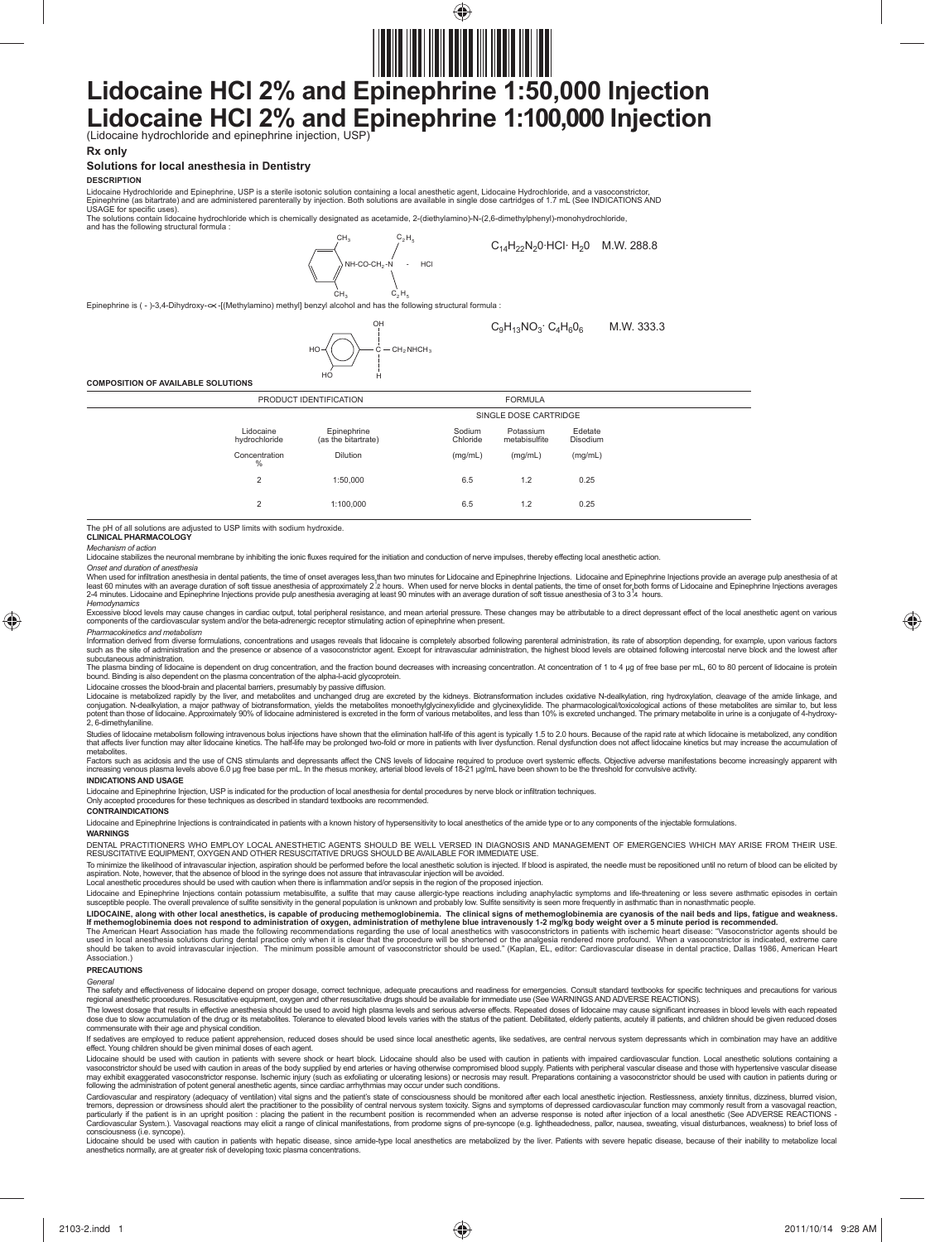

# **Lidocaine HCl 2% and Epinephrine 1:50,000 Injection** Lidocaine **HCl 2% and Epinephrine 1:100,000 Injection** (Lidocaine hydrochloride and epinephrine injection, USP)

### **Rx only**

# **Solutions for local anesthesia in Dentistry**

**DESCRIPTION**

Lidocaine Hydrochloride and Epinephrine, USP is a sterile isotonic solution containing a local anesthetic agent, Lidocaine Hydrochloride, and a vasoconstrictor,<br>Epinephrine (as bitartrate) and are administered parenterally USAGE for specific uses).

The solutions contain lidocaine hydrochloride which is chemically designated as acetamide, 2-(diethylamino)-N-(2,6-dimethylphenyl)-monohydrochloride, and has the following structural formula :  $C_4 H_5$ 



**CLINICAL PHARMACOLOGY** The pH of all solutions are adjusted to USP limits with sodium hydroxide.

# *Mechanism of action*

⊕

Lidocaine stabilizes the neuronal membrane by inhibiting the ionic fluxes required for the initiation and conduction of nerve impulses, thereby effecting local anesthetic action.

Onset and duration of anesthesia<br>When used for inflitration anesthesia in dental patients, the time of onset averages less than two minutes for Lidocaine and Epinephrine Injections. Lidocaine and Epinephrine Injections pro

Hemodynamics<br>Excessive blood levels may cause changes in cardiac output, total peripheral resistance, and mean arterial pressure. These changes may be attributable to a direct depressant effect of the local anesthetic agen

Pharmacokinetics and metabolism<br>Information derived from diverse formulations, concentrations and usages reveals that lidocaine is completely absorbed following parenteral administration, its rate of absorption depending,

subcutaneous administration.<br>The plasma binding of lidocaine is dependent on drug concentration, and the fraction bound decreases with increasing concentration. At concentration of 1 to 4 µg of free base per mL, 60 to 80 p bound. Binding is also dependent on the plasma concentration of the alpha-l-acid glycoprotein.

Lidocaine crosses the blood-brain and placental barriers, presumably by passive diffusion.

Lidocaine is metabolized rapidly by the liver, and metabolites and unchanged drug are excreted by the kidneys. Biotransformation includes oxidative N-dealkylation, ring hydroxylation, cleavage of the amide linkage, and<br>con potent than those of<br>2. 6-dimethylaniline.

Studies of lidocaine metabolism following intravenous bolus injections have shown that the elimination half-life of this agent is typically 1.5 to 2.0 hours. Because of the rapid rate at which lidocaine is metabolized, any that affects liver function may alter lidocaine kinetics. The half-life may be prolonged two-fold or more in patients with liver dysfunction. Renal dysfunction does not affect lidocaine kinetics but may increase the accumu metabolites.

Factors such as acidosis and the use of CNS stimulants and depressants affect the CNS levels of lidocaine required to produce overt systemic effects. Objective adverse manifestations become increasingly apparent with<br>incre

**INDICATIONS AND USAGE**

Lidocaine and Epinephrine Injection, USP is indicated for the production of local anesthesia for dental procedures by nerve block or infiltration techniques.

#### Only accepted procedures for these techniques as described in standard textbooks are recommended. **CONTRAINDICATIONS**

Lidocaine and Epinephrine Injections is contraindicated in patients with a known history of hypersensitivity to local anesthetics of the amide type or to any components of the injectable formulations.

#### **WARNINGS**

DENTAL PRACTITIONERS WHO EMPLOY LOCAL ANESTHETIC AGENTS SHOULD BE WELL VERSED IN DIAGNOSIS AND MANAGEMENT OF EMERGENCIES WHICH MAY ARISE FROM THEIR USE.<br>RESUSCITATIVE EQUIPMENT, OXYGEN AND OTHER RESUSCITATIVE DRUGS SHOULD

To minimize the likelihood of intravascular injection, aspiration should be performed before the local anesthetic solution is injected. If blood is aspirated, the needle must be repositioned until no return of blood can be

Lidocaine and Epinephrine Injections contain potassium metabisulfite, a sulfite that may cause allergic-type reactions including anaphylactic symptoms and life-threatening or less severe asthmate hand the interatening or l

LIDOCAINE, along with other local anesthetics, is capable of producing methemoglom enter the inicial signs of methemoglobinemia does not respended.<br>If methemoglobinemia does not respond to administration of oxygen, adminis Association.)

#### **PRECAUTIONS**

General<br>The safety and effectiveness of lidocaine depend on proper dosage, correct technique, adequate precautions and readiness for emergencies. Consult standard textbooks for specific techniques and precautions for vario

regional anesthetic procedures. Resuscitative equipment, oxygen and other resuscitative drugs should be available for immediate use (See WARNINGS AND ADVERSE REACTIONS).<br>The lowest dosage that results in effective anesthes commensurate with their age and physical condition.

If sedatives are employed to reduce patient apprehension, reduced doses should be used since local anesthetic agents, like sedatives, are central nervous system depressants which in combination may have an additive<br>effect.

Lidocaine should be used with caution in patients with severe shock or heart block. Lidocaine should also be used with caution in patients with impaired cardiovascular function. Local anesthetic solutions containing a<br>vasc

Cardiovascular and respiratory (adequacy of ventilation) vital signs and the patient's state of consciousness should be monitored after each local anesthetic injection. Restlessness, anxiety tinnitus, dizziness, blurred vi Cardiovascular System.). Vasovagal reactions may elicit a range of clinical manifestations, from prodome signs of pre-syncope (e.g. lightheadedness, pallor, nausea, sweating, visual disturbances, weakness) to brief loss of

anesthetics normally, are at greater risk of developing toxic plasma concentrations.

♠